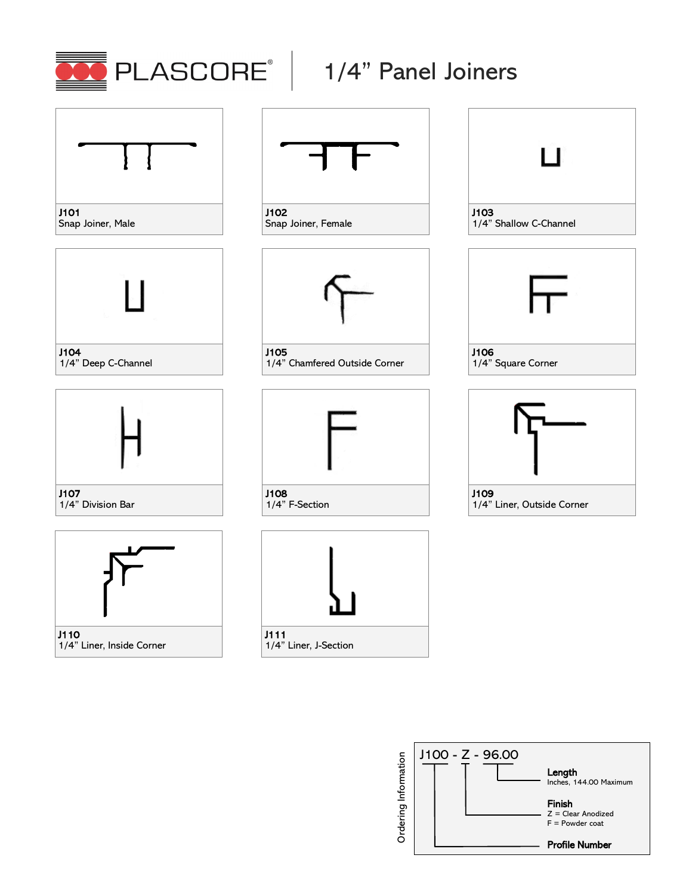







1/4" Division Bar





J102 Snap Joiner, Female



J105 1/4" Chamfered Outside Corner



1/4" F-Section









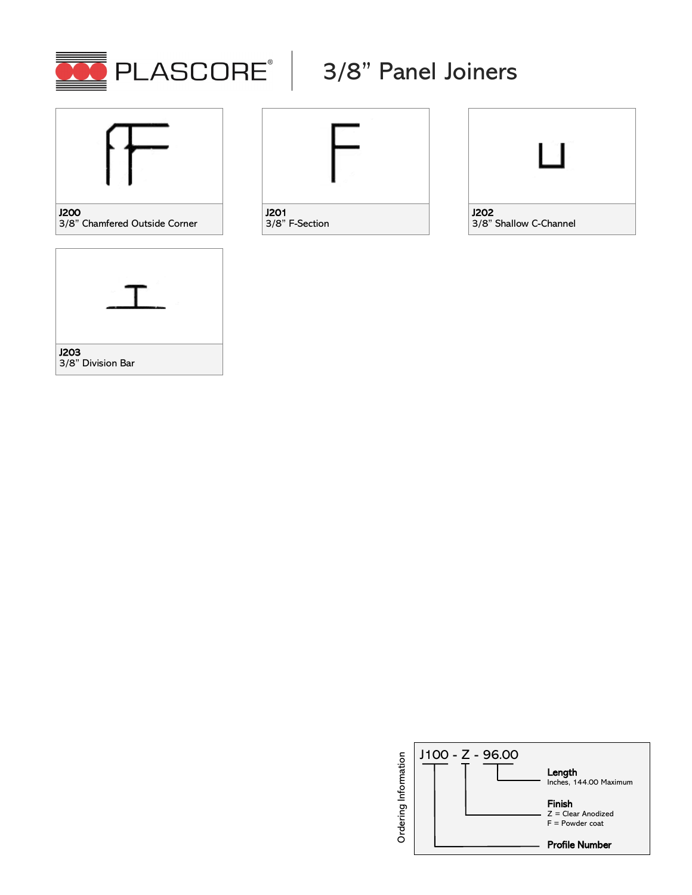



## 3/8" Chamfered Outside Corner





J201 3/8" F-Section



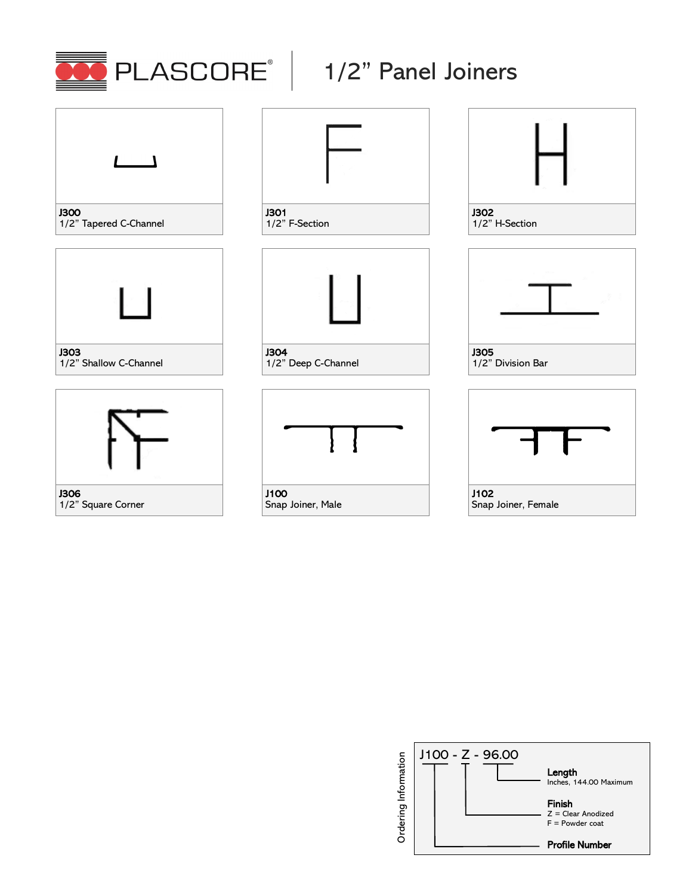

## $\overline{\phantom{a}}$ J300 1/2" Tapered C-Channel



J303 1/2" Shallow C-Channel





J301 1/2" F-Section



J304 1/2" Deep C-Channel